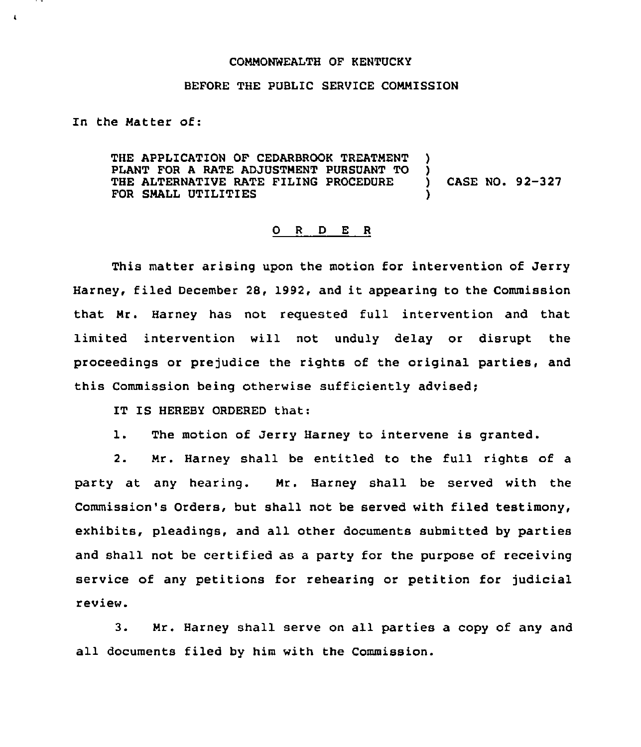## COMMONWEALTH OF KENTUCKY

## BEFORE THE PUBLIC SERVICE COMMISSION

In the Matter of:

 $\cdot$ 

THE APPLICATION OF CEDARBROOK TREATMENT PLANT FOR <sup>A</sup> RATE ADJUSTMENT PURSUANT TO ) THE ALTERNATIVE RATE FILING PROCEDURE ) CASE NO. 92-327 FOR SMALL UTILITIES

## O R D E R

This matter arising upon the motion for intervention of Jerry Harney, filed December 28, 1992, and it appearing to the Commission that Mr. Harney has not requested full intervention and that limited intervention will not unduly delay or disrupt the proceedings or prejudice the rights of the original parties, and this Commission being otherwise sufficiently advised;

IT IS HEREBY ORDERED that:

1. The motion of Jerry Barney to intervene is granted.

2. Mr. Harney shall be entitled to the full rights of a party at any hearing. Mr. Barney shall be served with the Commission's Orders, but shall not be served with filed testimony, exhibits, pleadings, and all other documents submitted by parties and shall not be certified as a party for the purpose of receiving service of any petitions for rehearing or petition for judicial review.

3. Mr. Harney shall serve on all parties a copy of any and all documents filed by him with the Commission.